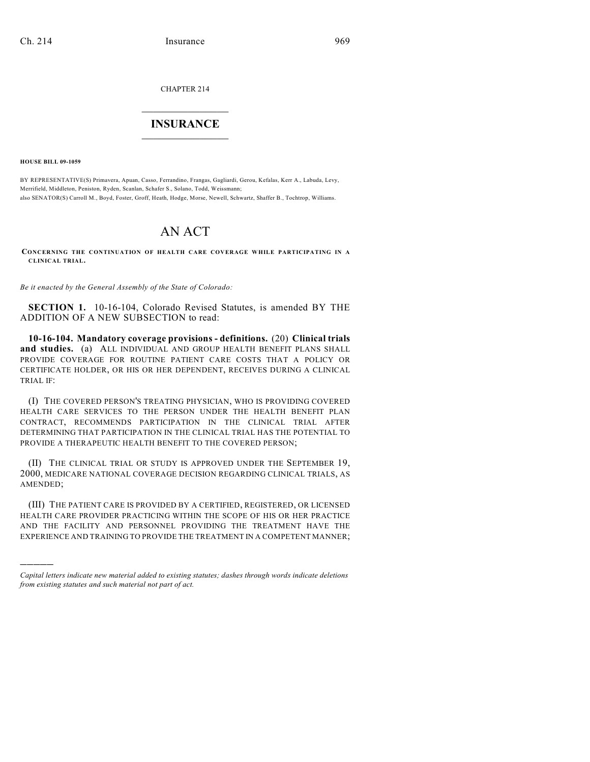CHAPTER 214

## $\overline{\phantom{a}}$  . The set of the set of the set of the set of the set of the set of the set of the set of the set of the set of the set of the set of the set of the set of the set of the set of the set of the set of the set o **INSURANCE**  $\frac{1}{2}$  ,  $\frac{1}{2}$  ,  $\frac{1}{2}$  ,  $\frac{1}{2}$  ,  $\frac{1}{2}$  ,  $\frac{1}{2}$  ,  $\frac{1}{2}$

**HOUSE BILL 09-1059**

)))))

BY REPRESENTATIVE(S) Primavera, Apuan, Casso, Ferrandino, Frangas, Gagliardi, Gerou, Kefalas, Kerr A., Labuda, Levy, Merrifield, Middleton, Peniston, Ryden, Scanlan, Schafer S., Solano, Todd, Weissmann; also SENATOR(S) Carroll M., Boyd, Foster, Groff, Heath, Hodge, Morse, Newell, Schwartz, Shaffer B., Tochtrop, Williams.

## AN ACT

**CONCERNING THE CONTINUATION OF HEALTH CARE COVERAGE WHILE PARTICIPATING IN A CLINICAL TRIAL.**

*Be it enacted by the General Assembly of the State of Colorado:*

**SECTION 1.** 10-16-104, Colorado Revised Statutes, is amended BY THE ADDITION OF A NEW SUBSECTION to read:

**10-16-104. Mandatory coverage provisions - definitions.** (20) **Clinical trials and studies.** (a) ALL INDIVIDUAL AND GROUP HEALTH BENEFIT PLANS SHALL PROVIDE COVERAGE FOR ROUTINE PATIENT CARE COSTS THAT A POLICY OR CERTIFICATE HOLDER, OR HIS OR HER DEPENDENT, RECEIVES DURING A CLINICAL TRIAL IF:

(I) THE COVERED PERSON'S TREATING PHYSICIAN, WHO IS PROVIDING COVERED HEALTH CARE SERVICES TO THE PERSON UNDER THE HEALTH BENEFIT PLAN CONTRACT, RECOMMENDS PARTICIPATION IN THE CLINICAL TRIAL AFTER DETERMINING THAT PARTICIPATION IN THE CLINICAL TRIAL HAS THE POTENTIAL TO PROVIDE A THERAPEUTIC HEALTH BENEFIT TO THE COVERED PERSON;

(II) THE CLINICAL TRIAL OR STUDY IS APPROVED UNDER THE SEPTEMBER 19, 2000, MEDICARE NATIONAL COVERAGE DECISION REGARDING CLINICAL TRIALS, AS AMENDED;

(III) THE PATIENT CARE IS PROVIDED BY A CERTIFIED, REGISTERED, OR LICENSED HEALTH CARE PROVIDER PRACTICING WITHIN THE SCOPE OF HIS OR HER PRACTICE AND THE FACILITY AND PERSONNEL PROVIDING THE TREATMENT HAVE THE EXPERIENCE AND TRAINING TO PROVIDE THE TREATMENT IN A COMPETENT MANNER;

*Capital letters indicate new material added to existing statutes; dashes through words indicate deletions from existing statutes and such material not part of act.*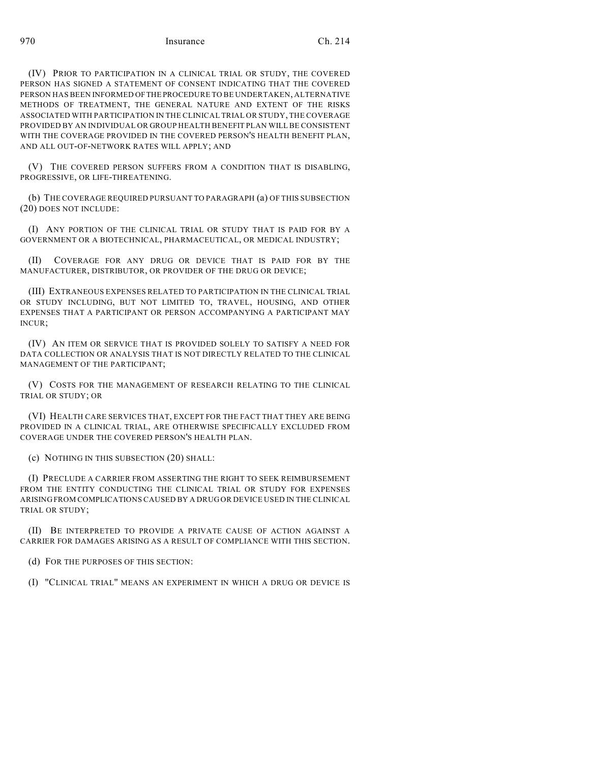970 Ch. 214

(IV) PRIOR TO PARTICIPATION IN A CLINICAL TRIAL OR STUDY, THE COVERED PERSON HAS SIGNED A STATEMENT OF CONSENT INDICATING THAT THE COVERED PERSON HAS BEEN INFORMED OF THE PROCEDURE TO BE UNDERTAKEN, ALTERNATIVE METHODS OF TREATMENT, THE GENERAL NATURE AND EXTENT OF THE RISKS ASSOCIATED WITH PARTICIPATION IN THE CLINICAL TRIAL OR STUDY, THE COVERAGE PROVIDED BY AN INDIVIDUAL OR GROUP HEALTH BENEFIT PLAN WILL BE CONSISTENT WITH THE COVERAGE PROVIDED IN THE COVERED PERSON'S HEALTH BENEFIT PLAN, AND ALL OUT-OF-NETWORK RATES WILL APPLY; AND

(V) THE COVERED PERSON SUFFERS FROM A CONDITION THAT IS DISABLING, PROGRESSIVE, OR LIFE-THREATENING.

(b) THE COVERAGE REQUIRED PURSUANT TO PARAGRAPH (a) OF THIS SUBSECTION (20) DOES NOT INCLUDE:

(I) ANY PORTION OF THE CLINICAL TRIAL OR STUDY THAT IS PAID FOR BY A GOVERNMENT OR A BIOTECHNICAL, PHARMACEUTICAL, OR MEDICAL INDUSTRY;

(II) COVERAGE FOR ANY DRUG OR DEVICE THAT IS PAID FOR BY THE MANUFACTURER, DISTRIBUTOR, OR PROVIDER OF THE DRUG OR DEVICE;

(III) EXTRANEOUS EXPENSES RELATED TO PARTICIPATION IN THE CLINICAL TRIAL OR STUDY INCLUDING, BUT NOT LIMITED TO, TRAVEL, HOUSING, AND OTHER EXPENSES THAT A PARTICIPANT OR PERSON ACCOMPANYING A PARTICIPANT MAY INCUR;

(IV) AN ITEM OR SERVICE THAT IS PROVIDED SOLELY TO SATISFY A NEED FOR DATA COLLECTION OR ANALYSIS THAT IS NOT DIRECTLY RELATED TO THE CLINICAL MANAGEMENT OF THE PARTICIPANT;

(V) COSTS FOR THE MANAGEMENT OF RESEARCH RELATING TO THE CLINICAL TRIAL OR STUDY; OR

(VI) HEALTH CARE SERVICES THAT, EXCEPT FOR THE FACT THAT THEY ARE BEING PROVIDED IN A CLINICAL TRIAL, ARE OTHERWISE SPECIFICALLY EXCLUDED FROM COVERAGE UNDER THE COVERED PERSON'S HEALTH PLAN.

(c) NOTHING IN THIS SUBSECTION (20) SHALL:

(I) PRECLUDE A CARRIER FROM ASSERTING THE RIGHT TO SEEK REIMBURSEMENT FROM THE ENTITY CONDUCTING THE CLINICAL TRIAL OR STUDY FOR EXPENSES ARISING FROM COMPLICATIONS CAUSED BY A DRUG OR DEVICE USED IN THE CLINICAL TRIAL OR STUDY;

(II) BE INTERPRETED TO PROVIDE A PRIVATE CAUSE OF ACTION AGAINST A CARRIER FOR DAMAGES ARISING AS A RESULT OF COMPLIANCE WITH THIS SECTION.

(d) FOR THE PURPOSES OF THIS SECTION:

(I) "CLINICAL TRIAL" MEANS AN EXPERIMENT IN WHICH A DRUG OR DEVICE IS